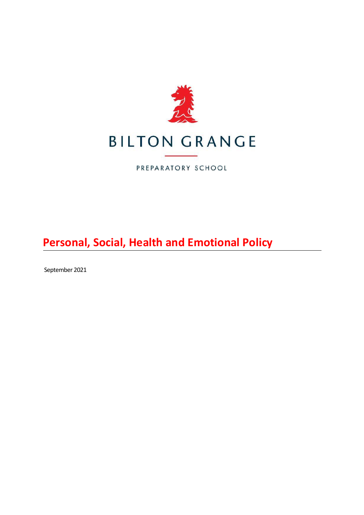

PREPARATORY SCHOOL

**Personal, Social, Health and Emotional Policy**

September 2021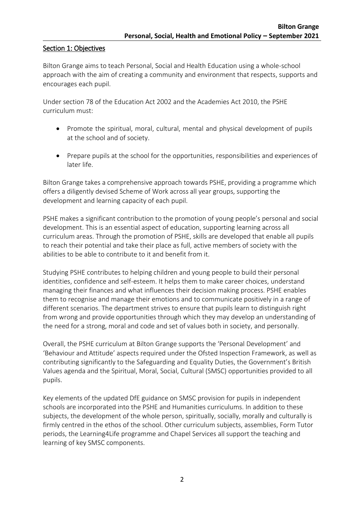## Section 1: Objectives

Bilton Grange aims to teach Personal, Social and Health Education using a whole-school approach with the aim of creating a community and environment that respects, supports and encourages each pupil.

Under section 78 of the Education Act 2002 and the Academies Act 2010, the PSHE curriculum must:

- Promote the spiritual, moral, cultural, mental and physical development of pupils at the school and of society.
- Prepare pupils at the school for the opportunities, responsibilities and experiences of later life.

Bilton Grange takes a comprehensive approach towards PSHE, providing a programme which offers a diligently devised Scheme of Work across all year groups, supporting the development and learning capacity of each pupil.

PSHE makes a significant contribution to the promotion of young people's personal and social development. This is an essential aspect of education, supporting learning across all curriculum areas. Through the promotion of PSHE, skills are developed that enable all pupils to reach their potential and take their place as full, active members of society with the abilities to be able to contribute to it and benefit from it.

Studying PSHE contributes to helping children and young people to build their personal identities, confidence and self-esteem. It helps them to make career choices, understand managing their finances and what influences their decision making process. PSHE enables them to recognise and manage their emotions and to communicate positively in a range of different scenarios. The department strives to ensure that pupils learn to distinguish right from wrong and provide opportunities through which they may develop an understanding of the need for a strong, moral and code and set of values both in society, and personally.

Overall, the PSHE curriculum at Bilton Grange supports the 'Personal Development' and 'Behaviour and Attitude' aspects required under the Ofsted Inspection Framework, as well as contributing significantly to the Safeguarding and Equality Duties, the Government's British Values agenda and the Spiritual, Moral, Social, Cultural (SMSC) opportunities provided to all pupils.

Key elements of the updated DfE guidance on SMSC provision for pupils in independent schools are incorporated into the PSHE and Humanities curriculums. In addition to these subjects, the development of the whole person, spiritually, socially, morally and culturally is firmly centred in the ethos of the school. Other curriculum subjects, assemblies, Form Tutor periods, the Learning4Life programme and Chapel Services all support the teaching and learning of key SMSC components.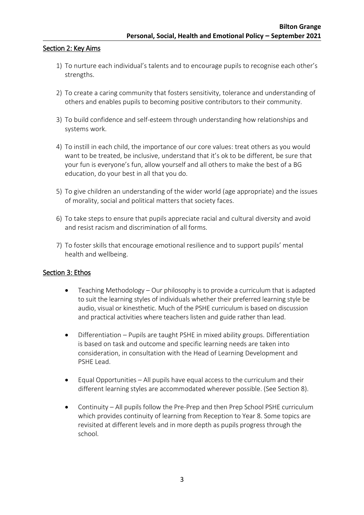### Section 2: Key Aims

- 1) To nurture each individual's talents and to encourage pupils to recognise each other's strengths.
- 2) To create a caring community that fosters sensitivity, tolerance and understanding of others and enables pupils to becoming positive contributors to their community.
- 3) To build confidence and self-esteem through understanding how relationships and systems work.
- 4) To instill in each child, the importance of our core values: treat others as you would want to be treated, be inclusive, understand that it's ok to be different, be sure that your fun is everyone's fun, allow yourself and all others to make the best of a BG education, do your best in all that you do.
- 5) To give children an understanding of the wider world (age appropriate) and the issues of morality, social and political matters that society faces.
- 6) To take steps to ensure that pupils appreciate racial and cultural diversity and avoid and resist racism and discrimination of all forms.
- 7) To foster skills that encourage emotional resilience and to support pupils' mental health and wellbeing.

#### Section 3: Ethos

- Teaching Methodology Our philosophy is to provide a curriculum that is adapted to suit the learning styles of individuals whether their preferred learning style be audio, visual or kinesthetic. Much of the PSHE curriculum is based on discussion and practical activities where teachers listen and guide rather than lead.
- Differentiation Pupils are taught PSHE in mixed ability groups. Differentiation is based on task and outcome and specific learning needs are taken into consideration, in consultation with the Head of Learning Development and PSHE Lead.
- Equal Opportunities All pupils have equal access to the curriculum and their different learning styles are accommodated wherever possible. (See Section 8).
- Continuity All pupils follow the Pre-Prep and then Prep School PSHE curriculum which provides continuity of learning from Reception to Year 8. Some topics are revisited at different levels and in more depth as pupils progress through the school.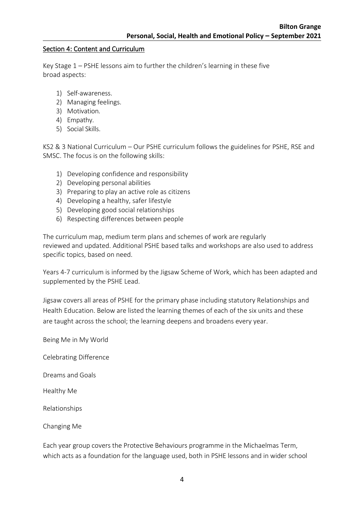### Section 4: Content and Curriculum

Key Stage 1 – PSHE lessons aim to further the children's learning in these five broad aspects:

- 1) Self-awareness.
- 2) Managing feelings.
- 3) Motivation.
- 4) Empathy.
- 5) Social Skills.

KS2 & 3 National Curriculum – Our PSHE curriculum follows the guidelines for PSHE, RSE and SMSC. The focus is on the following skills:

- 1) Developing confidence and responsibility
- 2) Developing personal abilities
- 3) Preparing to play an active role as citizens
- 4) Developing a healthy, safer lifestyle
- 5) Developing good social relationships
- 6) Respecting differences between people

The curriculum map, medium term plans and schemes of work are regularly reviewed and updated. Additional PSHE based talks and workshops are also used to address specific topics, based on need.

Years 4-7 curriculum is informed by the Jigsaw Scheme of Work, which has been adapted and supplemented by the PSHE Lead.

Jigsaw covers all areas of PSHE for the primary phase including statutory Relationships and Health Education. Below are listed the learning themes of each of the six units and these are taught across the school; the learning deepens and broadens every year.

Being Me in My World

Celebrating Difference

Dreams and Goals

Healthy Me

Relationships

Changing Me

Each year group covers the Protective Behaviours programme in the Michaelmas Term, which acts as a foundation for the language used, both in PSHE lessons and in wider school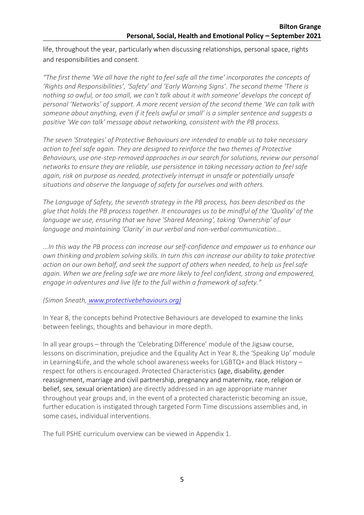life, throughout the year, particularly when discussing relationships, personal space, rights and responsibilities and consent.

*"The first theme 'We all have the right to feel safe all the time' incorporates the concepts of 'Rights and Responsibilities', 'Safety' and 'Early Warning Signs'. The second theme 'There is nothing so awful, or too small, we can't talk about it with someone' develops the concept of personal 'Networks' of support. A more recent version of the second theme 'We can talk with someone about anything, even if it feels awful or small' is a simpler sentence and suggests a positive 'We can talk' message about networking, consistent with the PB process.*

*The seven 'Strategies' of Protective Behaviours are intended to enable us to take necessary action to feel safe again. They are designed to reinforce the two themes of Protective Behaviours, use one-step-removed approaches in our search for solutions, review our personal networks to ensure they are reliable, use persistence in taking necessary action to feel safe again, risk on purpose as needed, protectively interrupt in unsafe or potentially unsafe situations and observe the language of safety for ourselves and with others.*

*The Language of Safety, the seventh strategy in the PB process, has been described as the glue that holds the PB process together. It encourages us to be mindful of the 'Quality' of the language we use, ensuring that we have 'Shared Meaning', taking 'Ownership' of our language and maintaining 'Clarity' in our verbal and non-verbal communication...*

*...In this way the PB process can increase our self-confidence and empower us to enhance our own thinking and problem solving skills. In turn this can increase our ability to take protective action on our own behalf, and seek the support of others when needed, to help us feel safe again. When we are feeling safe we are more likely to feel confident, strong and empowered, engage in adventures and live life to the full within a framework of safety."*

*(Simon Sneath, [www.protectivebehaviours.org\)](http://www.protectivebehaviours.org)/)*

In Year 8, the concepts behind Protective Behaviours are developed to examine the links between feelings, thoughts and behaviour in more depth.

In all year groups – through the 'Celebrating Difference' module of the Jigsaw course, lessons on discrimination, prejudice and the Equality Act in Year 8, the 'Speaking Up' module in Learning4Life, and the whole school awareness weeks for LGBTQ+ and Black History – respect for others is encouraged. Protected Characteristics (age, disability, gender reassignment, marriage and civil partnership, pregnancy and maternity, race, religion or belief, sex, sexual orientation) are directly addressed in an age appropriate manner throughout year groups and, in the event of a protected characteristic becoming an issue, further education is instigated through targeted Form Time discussions assemblies and, in some cases, individual interventions.

The full PSHE curriculum overview can be viewed in Appendix 1.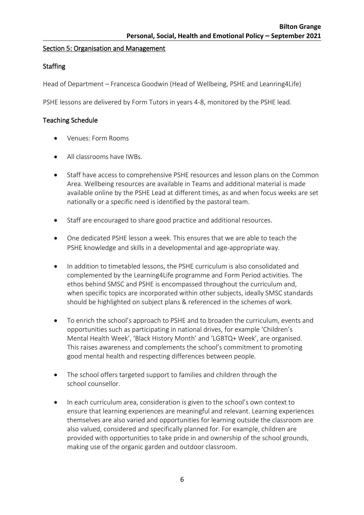### Section 5: Organisation and Management

## **Staffing**

Head of Department – Francesca Goodwin (Head of Wellbeing, PSHE and Leanring4Life)

PSHE lessons are delivered by Form Tutors in years 4-8, monitored by the PSHE lead.

### Teaching Schedule

- Venues: Form Rooms
- All classrooms have IWBs.
- Staff have access to comprehensive PSHE resources and lesson plans on the Common Area. Wellbeing resources are available in Teams and additional material is made available online by the PSHE Lead at different times, as and when focus weeks are set nationally or a specific need is identified by the pastoral team.
- Staff are encouraged to share good practice and additional resources.
- One dedicated PSHE lesson a week. This ensures that we are able to teach the PSHE knowledge and skills in a developmental and age-appropriate way.
- In addition to timetabled lessons, the PSHE curriculum is also consolidated and complemented by the Learning4Life programme and Form Period activities. The ethos behind SMSC and PSHE is encompassed throughout the curriculum and, when specific topics are incorporated within other subjects, ideally SMSC standards should be highlighted on subject plans & referenced in the schemes of work.
- To enrich the school's approach to PSHE and to broaden the curriculum, events and opportunities such as participating in national drives, for example 'Children's Mental Health Week', 'Black History Month' and 'LGBTQ+ Week', are organised. This raises awareness and complements the school's commitment to promoting good mental health and respecting differences between people.
- The school offers targeted support to families and children through the school counsellor.
- In each curriculum area, consideration is given to the school's own context to ensure that learning experiences are meaningful and relevant. Learning experiences themselves are also varied and opportunities for learning outside the classroom are also valued, considered and specifically planned for. For example, children are provided with opportunities to take pride in and ownership of the school grounds, making use of the organic garden and outdoor classroom.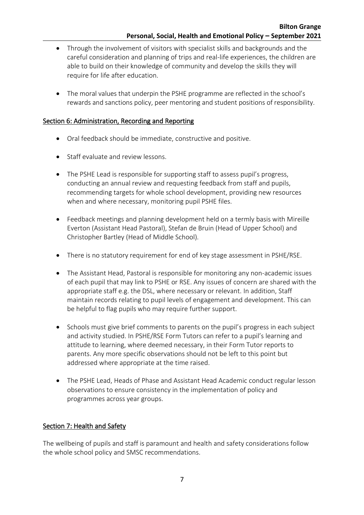- Through the involvement of visitors with specialist skills and backgrounds and the careful consideration and planning of trips and real-life experiences, the children are able to build on their knowledge of community and develop the skills they will require for life after education.
- The moral values that underpin the PSHE programme are reflected in the school's rewards and sanctions policy, peer mentoring and student positions of responsibility.

## Section 6: Administration, Recording and Reporting

- Oral feedback should be immediate, constructive and positive.
- Staff evaluate and review lessons
- The PSHE Lead is responsible for supporting staff to assess pupil's progress, conducting an annual review and requesting feedback from staff and pupils, recommending targets for whole school development, providing new resources when and where necessary, monitoring pupil PSHE files.
- Feedback meetings and planning development held on a termly basis with Mireille Everton (Assistant Head Pastoral), Stefan de Bruin (Head of Upper School) and Christopher Bartley (Head of Middle School).
- There is no statutory requirement for end of key stage assessment in PSHE/RSE.
- The Assistant Head, Pastoral is responsible for monitoring any non-academic issues of each pupil that may link to PSHE or RSE. Any issues of concern are shared with the appropriate staff e.g. the DSL, where necessary or relevant. In addition, Staff maintain records relating to pupil levels of engagement and development. This can be helpful to flag pupils who may require further support.
- Schools must give brief comments to parents on the pupil's progress in each subject and activity studied. In PSHE/RSE Form Tutors can refer to a pupil's learning and attitude to learning, where deemed necessary, in their Form Tutor reports to parents. Any more specific observations should not be left to this point but addressed where appropriate at the time raised.
- The PSHE Lead, Heads of Phase and Assistant Head Academic conduct regular lesson observations to ensure consistency in the implementation of policy and programmes across year groups.

# Section 7: Health and Safety

The wellbeing of pupils and staff is paramount and health and safety considerations follow the whole school policy and SMSC recommendations.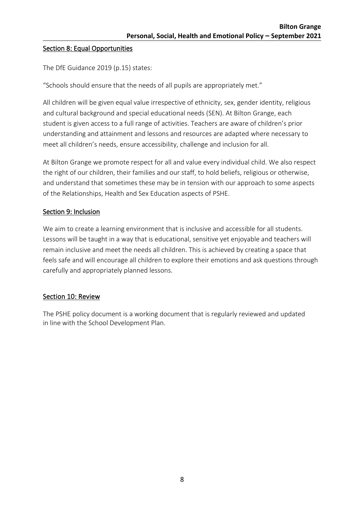### Section 8: Equal Opportunities

The DfE Guidance 2019 (p.15) states:

"Schools should ensure that the needs of all pupils are appropriately met."

All children will be given equal value irrespective of ethnicity, sex, gender identity, religious and cultural background and special educational needs (SEN). At Bilton Grange, each student is given access to a full range of activities. Teachers are aware of children's prior understanding and attainment and lessons and resources are adapted where necessary to meet all children's needs, ensure accessibility, challenge and inclusion for all.

At Bilton Grange we promote respect for all and value every individual child. We also respect the right of our children, their families and our staff, to hold beliefs, religious or otherwise, and understand that sometimes these may be in tension with our approach to some aspects of the Relationships, Health and Sex Education aspects of PSHE.

## Section 9: Inclusion

We aim to create a learning environment that is inclusive and accessible for all students. Lessons will be taught in a way that is educational, sensitive yet enjoyable and teachers will remain inclusive and meet the needs all children. This is achieved by creating a space that feels safe and will encourage all children to explore their emotions and ask questions through carefully and appropriately planned lessons.

#### Section 10: Review

The PSHE policy document is a working document that is regularly reviewed and updated in line with the School Development Plan.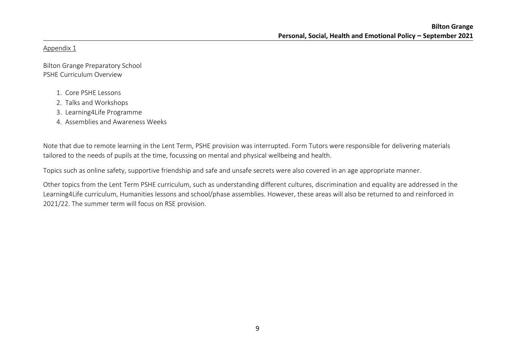Appendix 1

Bilton Grange Preparatory School PSHE Curriculum Overview

- 1. Core PSHE Lessons
- 2. Talks and Workshops
- 3. Learning4Life Programme
- 4. Assemblies and Awareness Weeks

Note that due to remote learning in the Lent Term, PSHE provision was interrupted. Form Tutors were responsible for delivering materials tailored to the needs of pupils at the time, focussing on mental and physical wellbeing and health.

Topics such as online safety, supportive friendship and safe and unsafe secrets were also covered in an age appropriate manner.

Other topics from the Lent Term PSHE curriculum, such as understanding different cultures, discrimination and equality are addressed in the Learning4Life curriculum, Humanities lessons and school/phase assemblies. However, these areas will also be returned to and reinforced in 2021/22. The summer term will focus on RSE provision.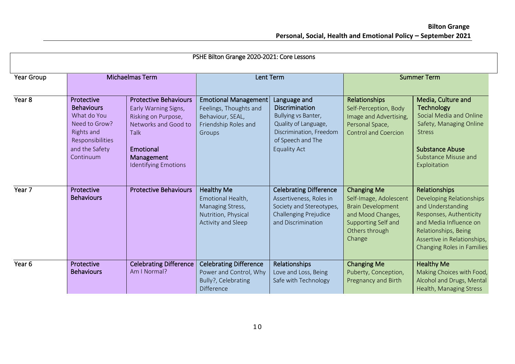| PSHE Bilton Grange 2020-2021: Core Lessons |                                                                                                                                  |                                                                                                                                                                              |                                                                                                             |                                                                                                                                                      |                                                                                                                                                  |                                                                                                                                                                                                                 |
|--------------------------------------------|----------------------------------------------------------------------------------------------------------------------------------|------------------------------------------------------------------------------------------------------------------------------------------------------------------------------|-------------------------------------------------------------------------------------------------------------|------------------------------------------------------------------------------------------------------------------------------------------------------|--------------------------------------------------------------------------------------------------------------------------------------------------|-----------------------------------------------------------------------------------------------------------------------------------------------------------------------------------------------------------------|
| Year Group                                 |                                                                                                                                  | Michaelmas Term                                                                                                                                                              |                                                                                                             | <b>Lent Term</b>                                                                                                                                     |                                                                                                                                                  | <b>Summer Term</b>                                                                                                                                                                                              |
| Year <sub>8</sub>                          | Protective<br><b>Behaviours</b><br>What do You<br>Need to Grow?<br>Rights and<br>Responsibilities<br>and the Safety<br>Continuum | <b>Protective Behaviours</b><br>Early Warning Signs,<br>Risking on Purpose,<br>Networks and Good to<br><b>Talk</b><br>Emotional<br>Management<br><b>Identifying Emotions</b> | <b>Emotional Management</b><br>Feelings, Thoughts and<br>Behaviour, SEAL,<br>Friendship Roles and<br>Groups | Language and<br>Discrimination<br>Bullying vs Banter,<br>Quality of Language,<br>Discrimination, Freedom<br>of Speech and The<br><b>Equality Act</b> | Relationships<br>Self-Perception, Body<br>Image and Advertising,<br>Personal Space,<br><b>Control and Coercion</b>                               | Media, Culture and<br><b>Technology</b><br>Social Media and Online<br>Safety, Managing Online<br><b>Stress</b><br><b>Substance Abuse</b><br>Substance Misuse and<br>Exploitation                                |
| Year 7                                     | Protective<br><b>Behaviours</b>                                                                                                  | <b>Protective Behaviours</b>                                                                                                                                                 | Healthy Me<br>Emotional Health,<br>Managing Stress,<br>Nutrition, Physical<br>Activity and Sleep            | <b>Celebrating Difference</b><br>Assertiveness, Roles in<br>Society and Stereotypes,<br>Challenging Prejudice<br>and Discrimination                  | <b>Changing Me</b><br>Self-Image, Adolescent<br><b>Brain Development</b><br>and Mood Changes,<br>Supporting Self and<br>Others through<br>Change | Relationships<br>Developing Relationships<br>and Understanding<br>Responses, Authenticity<br>and Media Influence on<br>Relationships, Being<br>Assertive in Relationships,<br><b>Changing Roles in Families</b> |
| Year 6                                     | Protective<br><b>Behaviours</b>                                                                                                  | <b>Celebrating Difference</b><br>Am I Normal?                                                                                                                                | <b>Celebrating Difference</b><br>Power and Control, Why<br>Bully?, Celebrating<br><b>Difference</b>         | <b>Relationships</b><br>Love and Loss, Being<br>Safe with Technology                                                                                 | <b>Changing Me</b><br>Puberty, Conception,<br>Pregnancy and Birth                                                                                | <b>Healthy Me</b><br>Making Choices with Food,<br>Alcohol and Drugs, Mental<br>Health, Managing Stress                                                                                                          |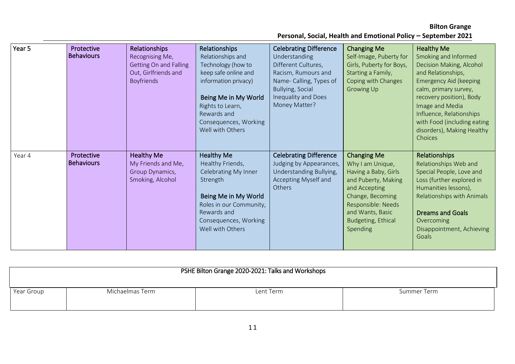# **Bilton Grange**

**Personal, Social, Health and Emotional Policy – September 2021**

| Year 5 | Protective<br><b>Behaviours</b> | Relationships<br>Recognising Me,<br><b>Getting On and Falling</b><br>Out, Girlfriends and<br><b>Boyfriends</b> | Relationships<br>Relationships and<br>Technology (how to<br>keep safe online and<br>information privacy)<br>Being Me in My World<br>Rights to Learn,<br>Rewards and<br>Consequences, Working<br>Well with Others | <b>Celebrating Difference</b><br>Understanding<br>Different Cultures,<br>Racism, Rumours and<br>Name- Calling, Types of<br>Bullying, Social<br>Inequality and Does<br>Money Matter? | <b>Changing Me</b><br>Self-Image, Puberty for<br>Girls, Puberty for Boys,<br>Starting a Family,<br>Coping with Changes<br>Growing Up                                                                          | <b>Healthy Me</b><br>Smoking and Informed<br>Decision Making, Alcohol<br>and Relationships,<br><b>Emergency Aid (keeping</b><br>calm, primary survey,<br>recovery position), Body<br>Image and Media<br>Influence, Relationships<br>with Food (including eating<br>disorders), Making Healthy<br>Choices |
|--------|---------------------------------|----------------------------------------------------------------------------------------------------------------|------------------------------------------------------------------------------------------------------------------------------------------------------------------------------------------------------------------|-------------------------------------------------------------------------------------------------------------------------------------------------------------------------------------|---------------------------------------------------------------------------------------------------------------------------------------------------------------------------------------------------------------|----------------------------------------------------------------------------------------------------------------------------------------------------------------------------------------------------------------------------------------------------------------------------------------------------------|
| Year 4 | Protective<br><b>Behaviours</b> | <b>Healthy Me</b><br>My Friends and Me,<br>Group Dynamics,<br>Smoking, Alcohol                                 | <b>Healthy Me</b><br>Healthy Friends,<br>Celebrating My Inner<br>Strength<br>Being Me in My World<br>Roles in our Community,<br>Rewards and<br>Consequences, Working<br>Well with Others                         | <b>Celebrating Difference</b><br>Judging by Appearances,<br>Understanding Bullying,<br>Accepting Myself and<br>Others                                                               | <b>Changing Me</b><br>Why I am Unique,<br>Having a Baby, Girls<br>and Puberty, Making<br>and Accepting<br>Change, Becoming<br>Responsible: Needs<br>and Wants, Basic<br><b>Budgeting, Ethical</b><br>Spending | Relationships<br>Relationships Web and<br>Special People, Love and<br>Loss (further explored in<br>Humanities lessons),<br>Relationships with Animals<br><b>Dreams and Goals</b><br>Overcoming<br>Disappointment, Achieving<br>Goals                                                                     |

| PSHE Bilton Grange 2020-2021: Talks and Workshops |                 |           |             |  |  |
|---------------------------------------------------|-----------------|-----------|-------------|--|--|
| Year Group                                        | Michaelmas Term | Lent Term | Summer Term |  |  |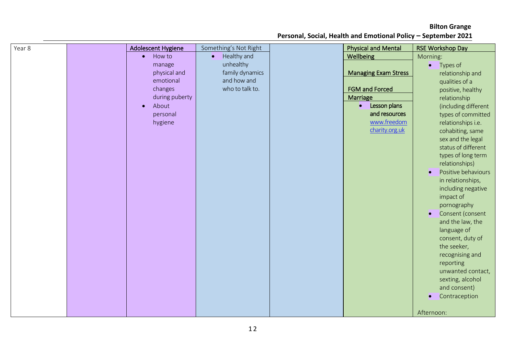| Year 8 | <b>Adolescent Hygiene</b> |           | Something's Not Right | <b>Physical and Mental</b>  | <b>RSE Workshop Day</b>          |
|--------|---------------------------|-----------|-----------------------|-----------------------------|----------------------------------|
|        | How to<br>$\bullet$       | $\bullet$ | Healthy and           | Wellbeing                   | Morning:                         |
|        | manage                    |           | unhealthy             |                             | Types of<br>$\bullet$            |
|        | physical and              |           | family dynamics       | <b>Managing Exam Stress</b> | relationship and                 |
|        | emotional                 |           | and how and           |                             | qualities of a                   |
|        | changes                   |           | who to talk to.       | <b>FGM and Forced</b>       | positive, healthy                |
|        | during puberty            |           |                       | Marriage                    | relationship                     |
|        | About<br>$\bullet$        |           |                       | Lesson plans<br>$\bullet$   | (including different             |
|        | personal                  |           |                       | and resources               | types of committed               |
|        | hygiene                   |           |                       | www.freedom                 | relationships i.e.               |
|        |                           |           |                       | charity.org.uk              | cohabiting, same                 |
|        |                           |           |                       |                             | sex and the legal                |
|        |                           |           |                       |                             | status of different              |
|        |                           |           |                       |                             | types of long term               |
|        |                           |           |                       |                             | relationships)                   |
|        |                           |           |                       |                             | Positive behaviours<br>$\bullet$ |
|        |                           |           |                       |                             | in relationships,                |
|        |                           |           |                       |                             | including negative               |
|        |                           |           |                       |                             | impact of                        |
|        |                           |           |                       |                             | pornography                      |
|        |                           |           |                       |                             | Consent (consent<br>$\bullet$    |
|        |                           |           |                       |                             | and the law, the                 |
|        |                           |           |                       |                             | language of                      |
|        |                           |           |                       |                             | consent, duty of                 |
|        |                           |           |                       |                             | the seeker,                      |
|        |                           |           |                       |                             | recognising and                  |
|        |                           |           |                       |                             | reporting                        |
|        |                           |           |                       |                             | unwanted contact,                |
|        |                           |           |                       |                             | sexting, alcohol                 |
|        |                           |           |                       |                             | and consent)                     |
|        |                           |           |                       |                             |                                  |
|        |                           |           |                       |                             | Contraception<br>$\bullet$       |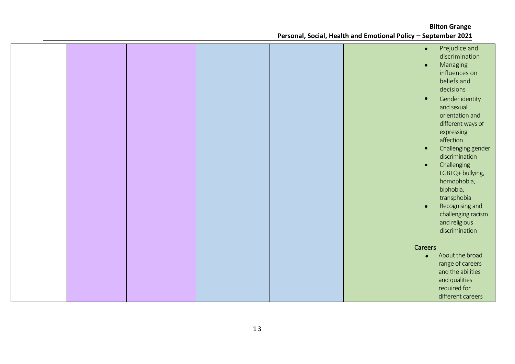|  |  |  | Prejudice and<br>$\bullet$<br>discrimination<br>Managing<br>$\bullet$<br>influences on<br>beliefs and<br>decisions<br>Gender identity<br>$\bullet$ |
|--|--|--|----------------------------------------------------------------------------------------------------------------------------------------------------|
|  |  |  | and sexual<br>orientation and<br>different ways of<br>expressing<br>affection<br>Challenging gender<br>$\bullet$                                   |
|  |  |  | discrimination<br>Challenging<br>$\bullet$<br>LGBTQ+ bullying,<br>homophobia,<br>biphobia,<br>transphobia<br>Recognising and                       |
|  |  |  | $\bullet$<br>challenging racism<br>and religious<br>discrimination<br><b>Careers</b>                                                               |
|  |  |  | About the broad<br>$\bullet$<br>range of careers<br>and the abilities<br>and qualities<br>required for<br>different careers                        |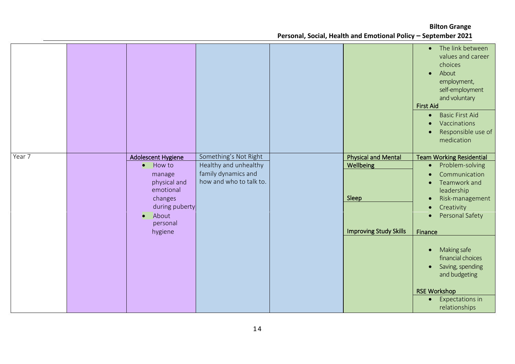**Bilton Grange**

**Personal, Social, Health and Emotional Policy – September 2021**

|        |                                                                                                                                                                   |                                                                                                  |                                                                                          | The link between<br>$\bullet$<br>values and career<br>choices<br>About<br>$\bullet$<br>employment,<br>self-employment<br>and voluntary<br><b>First Aid</b><br><b>Basic First Aid</b><br>$\bullet$<br>Vaccinations<br>$\bullet$<br>Responsible use of<br>medication                                                                                                                                                               |
|--------|-------------------------------------------------------------------------------------------------------------------------------------------------------------------|--------------------------------------------------------------------------------------------------|------------------------------------------------------------------------------------------|----------------------------------------------------------------------------------------------------------------------------------------------------------------------------------------------------------------------------------------------------------------------------------------------------------------------------------------------------------------------------------------------------------------------------------|
| Year 7 | <b>Adolescent Hygiene</b><br>How to<br>$\bullet$<br>manage<br>physical and<br>emotional<br>changes<br>during puberty<br>About<br>$\bullet$<br>personal<br>hygiene | Something's Not Right<br>Healthy and unhealthy<br>family dynamics and<br>how and who to talk to. | <b>Physical and Mental</b><br><b>Wellbeing</b><br>Sleep<br><b>Improving Study Skills</b> | <b>Team Working Residential</b><br>Problem-solving<br>$\bullet$<br>Communication<br>$\bullet$<br>Teamwork and<br>$\bullet$<br>leadership<br>Risk-management<br>$\bullet$<br>Creativity<br>$\bullet$<br>Personal Safety<br>$\bullet$<br>Finance<br>Making safe<br>$\bullet$<br>financial choices<br>Saving, spending<br>$\bullet$<br>and budgeting<br><b>RSE Workshop</b><br><b>Expectations in</b><br>$\bullet$<br>relationships |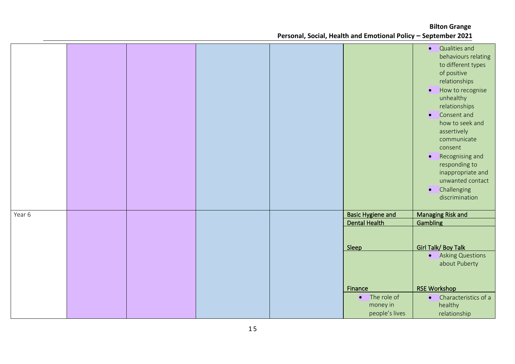|        |  |  |                                   | Qualities and<br>$\bullet$<br>behaviours relating<br>to different types<br>of positive<br>relationships<br>How to recognise<br>$\bullet$<br>unhealthy<br>relationships<br>Consent and<br>$\bullet$<br>how to seek and<br>assertively<br>communicate<br>consent<br>Recognising and<br>$\bullet$<br>responding to<br>inappropriate and<br>unwanted contact<br>Challenging<br>$\bullet$<br>discrimination |
|--------|--|--|-----------------------------------|--------------------------------------------------------------------------------------------------------------------------------------------------------------------------------------------------------------------------------------------------------------------------------------------------------------------------------------------------------------------------------------------------------|
| Year 6 |  |  | <b>Basic Hygiene and</b>          | <b>Managing Risk and</b>                                                                                                                                                                                                                                                                                                                                                                               |
|        |  |  | <b>Dental Health</b>              | Gambling                                                                                                                                                                                                                                                                                                                                                                                               |
|        |  |  | Sleep                             | <b>Girl Talk/ Boy Talk</b><br><b>Asking Questions</b><br>$\bullet$<br>about Puberty                                                                                                                                                                                                                                                                                                                    |
|        |  |  | Finance                           | <b>RSE Workshop</b>                                                                                                                                                                                                                                                                                                                                                                                    |
|        |  |  | $\bullet$ The role of<br>money in | Characteristics of a<br>$\bullet$<br>healthy                                                                                                                                                                                                                                                                                                                                                           |
|        |  |  | people's lives                    | relationship                                                                                                                                                                                                                                                                                                                                                                                           |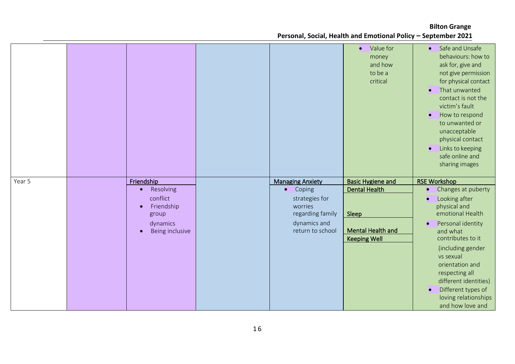|        |                             |                             | Value for<br>$\bullet$<br>money<br>and how<br>to be a<br>critical | Safe and Unsafe<br>$\bullet$<br>behaviours: how to<br>ask for, give and<br>not give permission<br>for physical contact<br>That unwanted<br><b>C</b><br>contact is not the<br>victim's fault<br>How to respond<br>$\bullet$<br>to unwanted or<br>unacceptable<br>physical contact<br>Links to keeping<br><b>O</b><br>safe online and<br>sharing images |
|--------|-----------------------------|-----------------------------|-------------------------------------------------------------------|-------------------------------------------------------------------------------------------------------------------------------------------------------------------------------------------------------------------------------------------------------------------------------------------------------------------------------------------------------|
| Year 5 | Friendship                  | <b>Managing Anxiety</b>     | <b>Basic Hygiene and</b>                                          | <b>RSE Workshop</b>                                                                                                                                                                                                                                                                                                                                   |
|        | Resolving<br>$\bullet$      | Coping<br>$\bullet$         | <b>Dental Health</b>                                              | Changes at puberty<br>$\bullet$                                                                                                                                                                                                                                                                                                                       |
|        |                             |                             |                                                                   |                                                                                                                                                                                                                                                                                                                                                       |
|        |                             |                             |                                                                   |                                                                                                                                                                                                                                                                                                                                                       |
|        | conflict                    | strategies for              |                                                                   | Looking after<br>$\bullet$                                                                                                                                                                                                                                                                                                                            |
|        | Friendship<br>group         | worries<br>regarding family | Sleep                                                             | physical and<br>emotional Health                                                                                                                                                                                                                                                                                                                      |
|        |                             | dynamics and                |                                                                   | $\bullet$                                                                                                                                                                                                                                                                                                                                             |
|        | dynamics<br>Being inclusive | return to school            | <b>Mental Health and</b>                                          | Personal identity<br>and what                                                                                                                                                                                                                                                                                                                         |
|        |                             |                             | <b>Keeping Well</b>                                               | contributes to it                                                                                                                                                                                                                                                                                                                                     |
|        |                             |                             |                                                                   | (including gender                                                                                                                                                                                                                                                                                                                                     |
|        |                             |                             |                                                                   | vs sexual                                                                                                                                                                                                                                                                                                                                             |
|        |                             |                             |                                                                   | orientation and                                                                                                                                                                                                                                                                                                                                       |
|        |                             |                             |                                                                   | respecting all                                                                                                                                                                                                                                                                                                                                        |
|        |                             |                             |                                                                   | different identities)                                                                                                                                                                                                                                                                                                                                 |
|        |                             |                             |                                                                   | Different types of<br><b>C</b><br>loving relationships                                                                                                                                                                                                                                                                                                |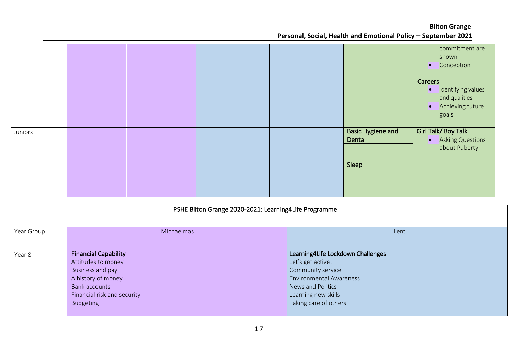|         |  |  |                          | commitment are<br>shown<br>• Conception<br>Careers<br>Identifying values<br>$\bullet$<br>and qualities<br>Achieving future<br>$\bullet$<br>goals |
|---------|--|--|--------------------------|--------------------------------------------------------------------------------------------------------------------------------------------------|
| Juniors |  |  | <b>Basic Hygiene and</b> | Girl Talk/Boy Talk                                                                                                                               |
|         |  |  | Dental                   | • Asking Questions                                                                                                                               |
|         |  |  |                          | about Puberty                                                                                                                                    |
|         |  |  | Sleep                    |                                                                                                                                                  |
|         |  |  |                          |                                                                                                                                                  |
|         |  |  |                          |                                                                                                                                                  |
|         |  |  |                          |                                                                                                                                                  |

| PSHE Bilton Grange 2020-2021: Learning4Life Programme |                                                                                                                                                          |                                                                                                                                                                                    |  |  |  |  |  |
|-------------------------------------------------------|----------------------------------------------------------------------------------------------------------------------------------------------------------|------------------------------------------------------------------------------------------------------------------------------------------------------------------------------------|--|--|--|--|--|
| Year Group                                            | Michaelmas                                                                                                                                               | Lent                                                                                                                                                                               |  |  |  |  |  |
| Year 8                                                | <b>Financial Capability</b><br>Attitudes to money<br>Business and pay<br>A history of money<br>Bank accounts<br>Financial risk and security<br>Budgeting | Learning4Life Lockdown Challenges<br>Let's get active!<br>Community service<br><b>Environmental Awareness</b><br>News and Politics<br>Learning new skills<br>Taking care of others |  |  |  |  |  |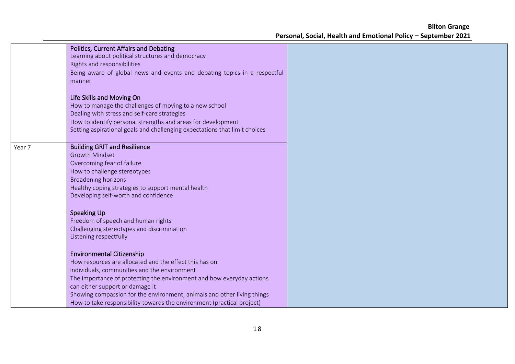a l

|        | <b>Politics, Current Affairs and Debating</b><br>Learning about political structures and democracy<br>Rights and responsibilities<br>Being aware of global news and events and debating topics in a respectful<br>manner                                                                                                                                                                                    |  |
|--------|-------------------------------------------------------------------------------------------------------------------------------------------------------------------------------------------------------------------------------------------------------------------------------------------------------------------------------------------------------------------------------------------------------------|--|
|        | Life Skills and Moving On<br>How to manage the challenges of moving to a new school<br>Dealing with stress and self-care strategies<br>How to identify personal strengths and areas for development<br>Setting aspirational goals and challenging expectations that limit choices                                                                                                                           |  |
| Year 7 | <b>Building GRIT and Resilience</b><br><b>Growth Mindset</b><br>Overcoming fear of failure<br>How to challenge stereotypes<br><b>Broadening horizons</b><br>Healthy coping strategies to support mental health<br>Developing self-worth and confidence                                                                                                                                                      |  |
|        | <b>Speaking Up</b><br>Freedom of speech and human rights<br>Challenging stereotypes and discrimination<br>Listening respectfully                                                                                                                                                                                                                                                                            |  |
|        | <b>Environmental Citizenship</b><br>How resources are allocated and the effect this has on<br>individuals, communities and the environment<br>The importance of protecting the environment and how everyday actions<br>can either support or damage it<br>Showing compassion for the environment, animals and other living things<br>How to take responsibility towards the environment (practical project) |  |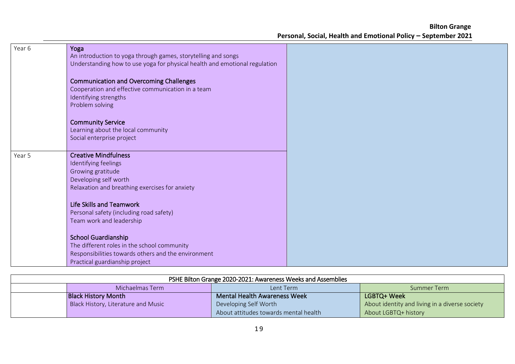| Year 6 | Yoga<br>An introduction to yoga through games, storytelling and songs<br>Understanding how to use yoga for physical health and emotional regulation                |  |
|--------|--------------------------------------------------------------------------------------------------------------------------------------------------------------------|--|
|        | <b>Communication and Overcoming Challenges</b><br>Cooperation and effective communication in a team<br>Identifying strengths<br>Problem solving                    |  |
|        | <b>Community Service</b><br>Learning about the local community<br>Social enterprise project                                                                        |  |
| Year 5 | <b>Creative Mindfulness</b><br>Identifying feelings<br>Growing gratitude<br>Developing self worth<br>Relaxation and breathing exercises for anxiety                |  |
|        | <b>Life Skills and Teamwork</b><br>Personal safety (including road safety)<br>Team work and leadership                                                             |  |
|        | <b>School Guardianship</b><br>The different roles in the school community<br>Responsibilities towards others and the environment<br>Practical guardianship project |  |

| PSHE Bilton Grange 2020-2021: Awareness Weeks and Assemblies |                                     |                                       |                                                |  |
|--------------------------------------------------------------|-------------------------------------|---------------------------------------|------------------------------------------------|--|
|                                                              | Michaelmas Term                     | Lent Term                             | Summer Term                                    |  |
|                                                              | <b>Black History Month</b>          | <b>Mental Health Awareness Week</b>   | LGBTQ+ Week                                    |  |
|                                                              | Black History, Literature and Music | Developing Self Worth                 | About identity and living in a diverse society |  |
|                                                              |                                     | About attitudes towards mental health | About LGBTQ+ history                           |  |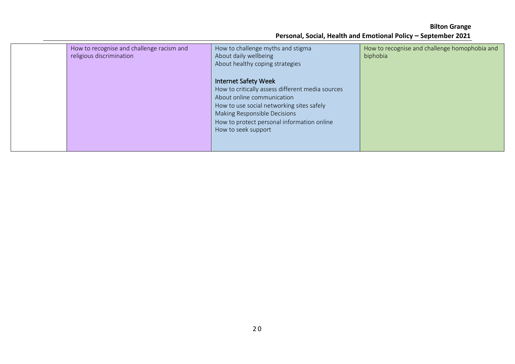|  | How to recognise and challenge racism and<br>religious discrimination | How to challenge myths and stigma<br>About daily wellbeing<br>About healthy coping strategies                                                                                                                                                                   | How to recognise and challenge homophobia and<br>biphobia |  |
|--|-----------------------------------------------------------------------|-----------------------------------------------------------------------------------------------------------------------------------------------------------------------------------------------------------------------------------------------------------------|-----------------------------------------------------------|--|
|  |                                                                       | <b>Internet Safety Week</b><br>How to critically assess different media sources<br>About online communication<br>How to use social networking sites safely<br>Making Responsible Decisions<br>How to protect personal information online<br>How to seek support |                                                           |  |